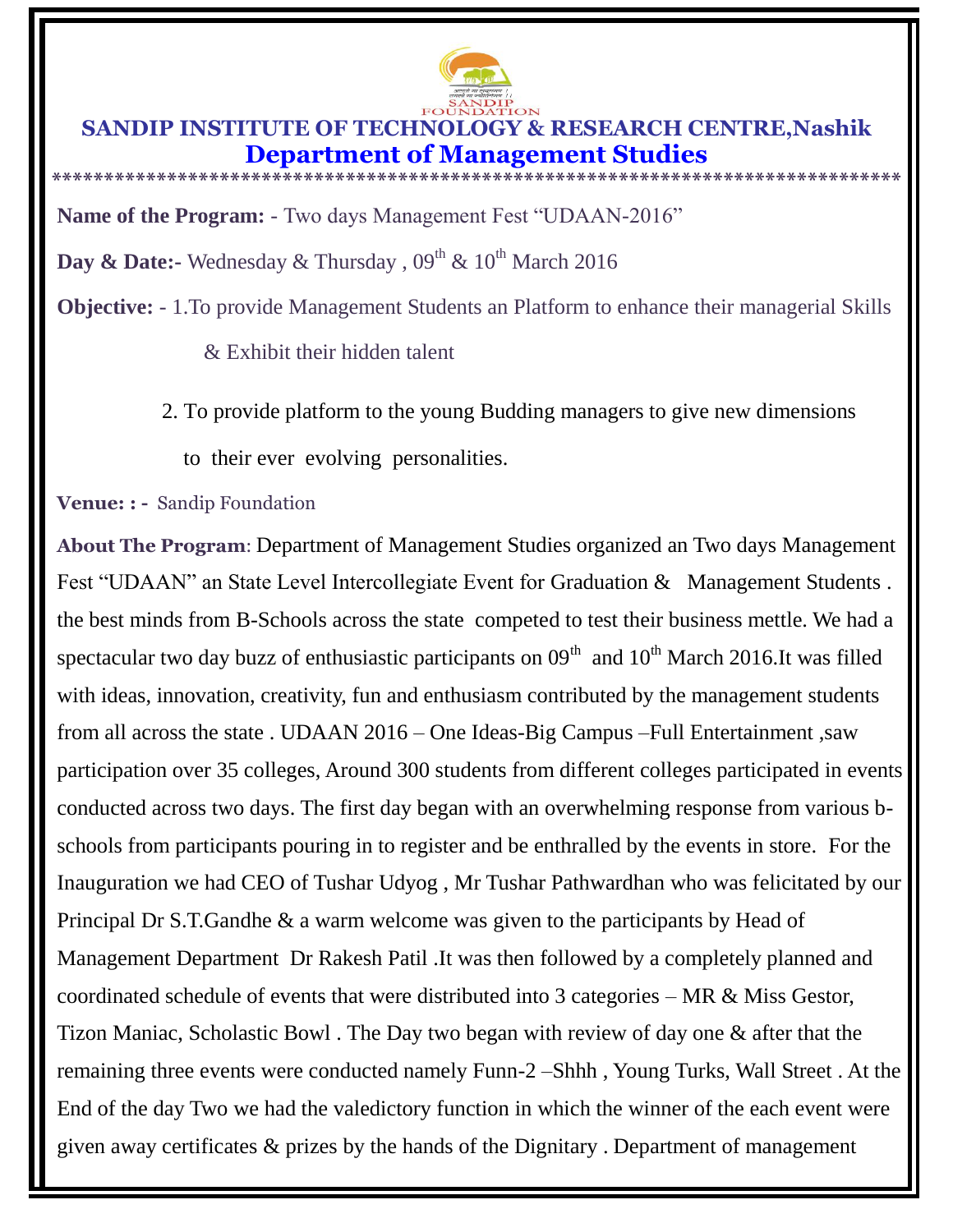

## **SANDIP INSTITUTE OF TECHNOLOGY & RESEARCH CENTRE,Nashik Department of Management Studies**

**\*\*\*\*\*\*\*\*\*\*\*\*\*\*\*\*\*\*\*\*\*\*\*\*\*\*\*\*\*\*\*\*\*\*\*\*\*\*\*\*\*\*\*\*\*\*\*\*\*\*\*\*\*\*\*\*\*\*\*\*\*\*\*\*\*\*\*\*\*\*\*\*\*\*\*\*\*\*\*\*\***

**Name of the Program:** - Two days Management Fest "UDAAN-2016"

**Day & Date:-** Wednesday & Thursday,  $09^{th}$  &  $10^{th}$  March 2016

**Objective:** - 1. To provide Management Students an Platform to enhance their managerial Skills

& Exhibit their hidden talent

2. To provide platform to the young Budding managers to give new dimensions

to their ever evolving personalities.

**Venue: : -** Sandip Foundation

**About The Program**: Department of Management Studies organized an Two days Management Fest "UDAAN" an State Level Intercollegiate Event for Graduation & Management Students . the best minds from B-Schools across the state competed to test their business mettle. We had a spectacular two day buzz of enthusiastic participants on  $09<sup>th</sup>$  and  $10<sup>th</sup>$  March 2016.It was filled with ideas, innovation, creativity, fun and enthusiasm contributed by the management students from all across the state . UDAAN 2016 – One Ideas-Big Campus –Full Entertainment ,saw participation over 35 colleges, Around 300 students from different colleges participated in events conducted across two days. The first day began with an overwhelming response from various bschools from participants pouring in to register and be enthralled by the events in store. For the Inauguration we had CEO of Tushar Udyog , Mr Tushar Pathwardhan who was felicitated by our Principal Dr S.T.Gandhe & a warm welcome was given to the participants by Head of Management Department Dr Rakesh Patil .It was then followed by a completely planned and coordinated schedule of events that were distributed into 3 categories – MR & Miss Gestor, Tizon Maniac, Scholastic Bowl . The Day two began with review of day one & after that the remaining three events were conducted namely Funn-2 –Shhh , Young Turks, Wall Street . At the End of the day Two we had the valedictory function in which the winner of the each event were given away certificates & prizes by the hands of the Dignitary . Department of management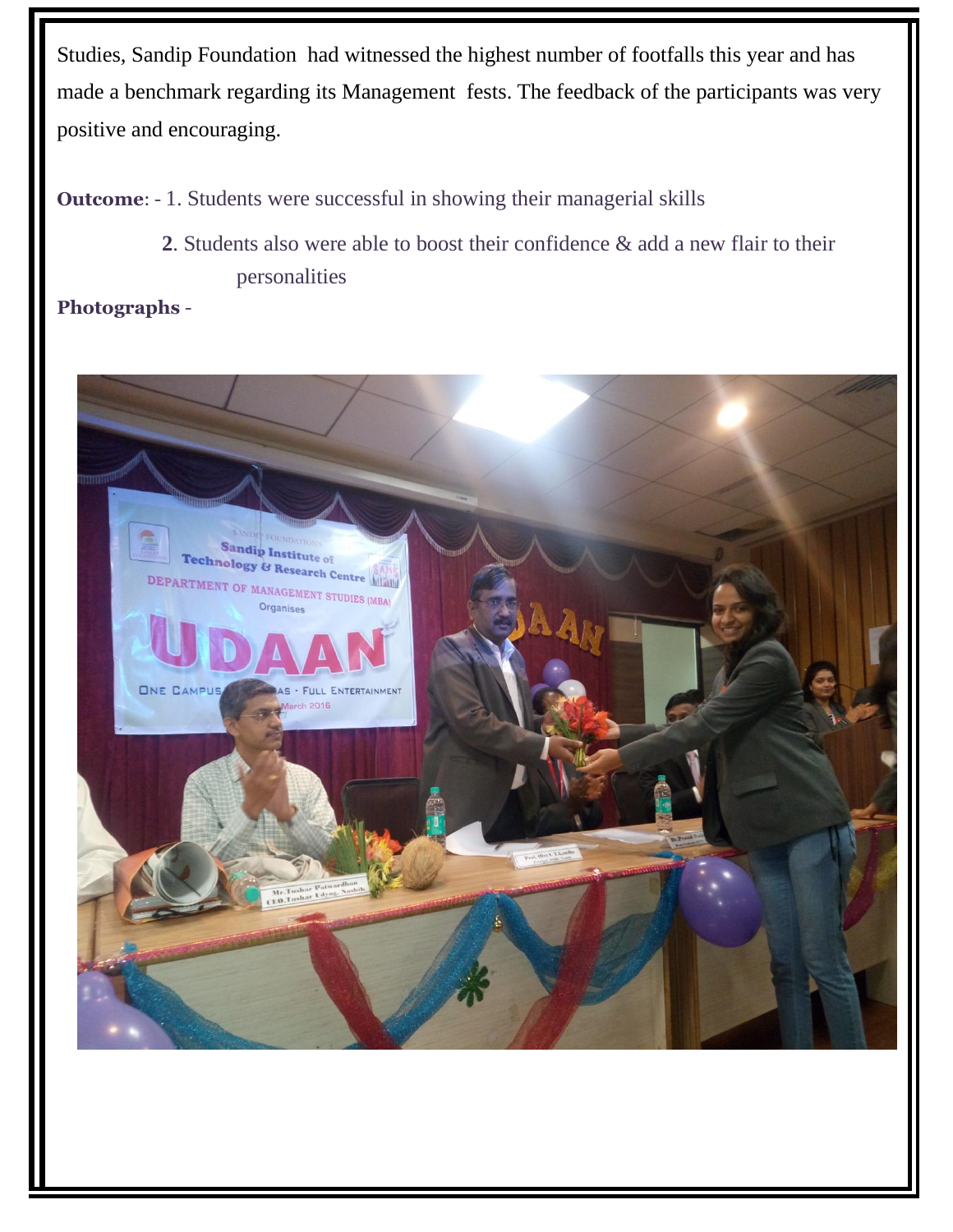Studies, Sandip Foundation had witnessed the highest number of footfalls this year and has made a benchmark regarding its Management fests. The feedback of the participants was very positive and encouraging.

**Outcome**: - 1. Students were successful in showing their managerial skills

**2**. Students also were able to boost their confidence & add a new flair to their personalities

**Photographs** -

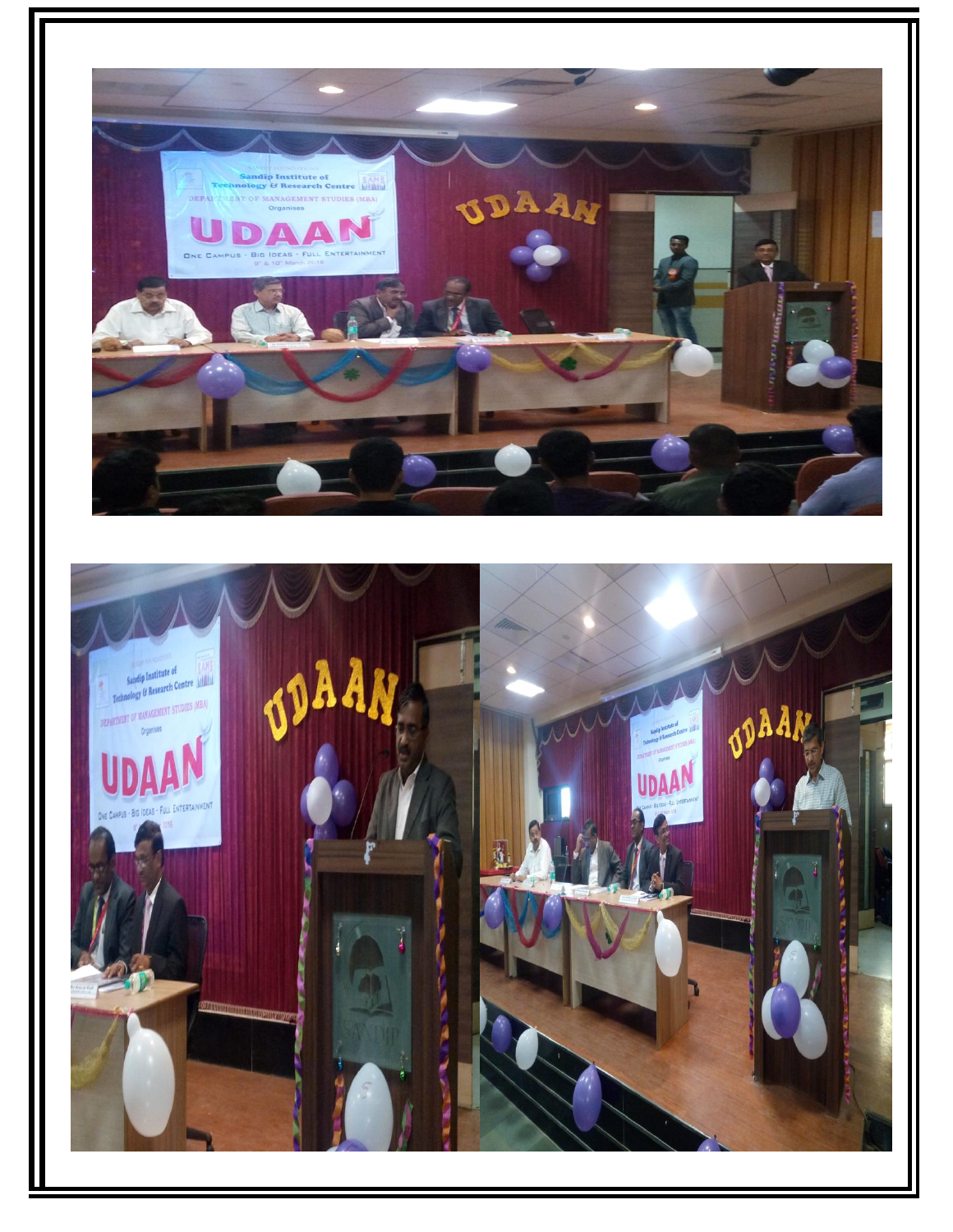